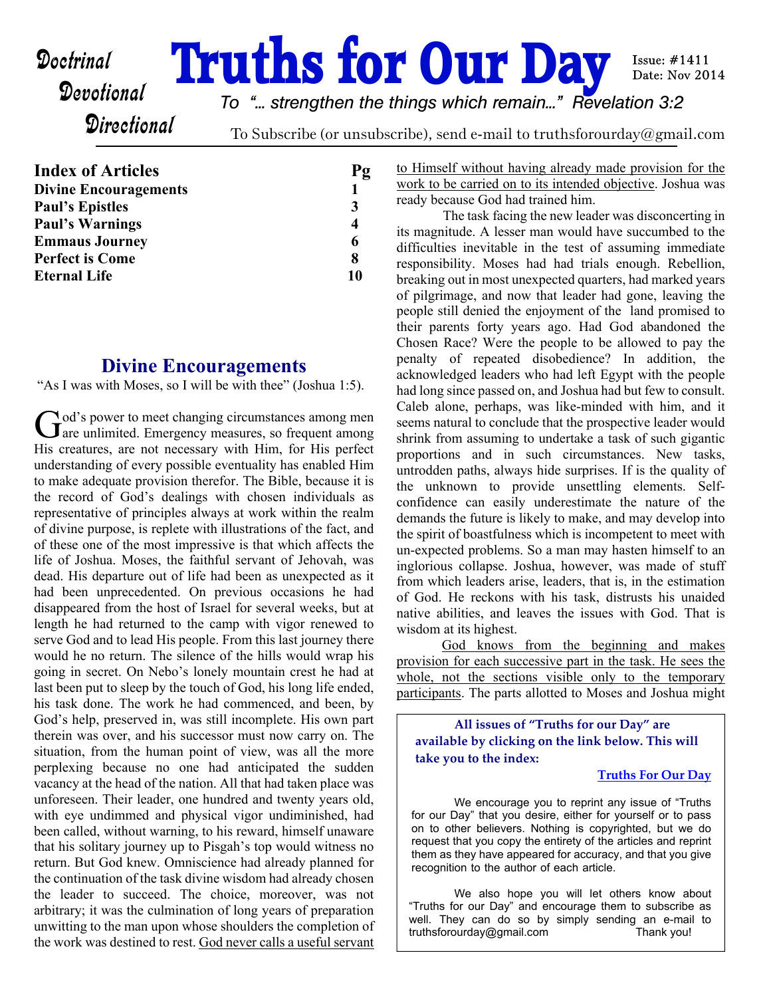# **Doctrinal Truths for Our Day**

Issue:  $#1411$ Date: Nov 2014

## **Directional**

*To "... strengthen the things which remain..." Revelation 3:2*

To Subscribe (or unsubscribe), send e-mail to truthsforourday@gmail.com

| <b>Index of Articles</b>     | Pg |
|------------------------------|----|
| <b>Divine Encouragements</b> |    |
| <b>Paul's Epistles</b>       | 3  |
| <b>Paul's Warnings</b>       |    |
| <b>Emmaus Journey</b>        | 6  |
| <b>Perfect is Come</b>       | 8  |
| <b>Eternal Life</b>          | 10 |
|                              |    |

#### **Divine Encouragements**

"As I was with Moses, so I will be with thee" (Joshua 1:5).

God's power to meet changing circumstances among men  $\lambda$  od's power to meet changing circumstances among men His creatures, are not necessary with Him, for His perfect understanding of every possible eventuality has enabled Him to make adequate provision therefor. The Bible, because it is the record of God's dealings with chosen individuals as representative of principles always at work within the realm of divine purpose, is replete with illustrations of the fact, and of these one of the most impressive is that which affects the life of Joshua. Moses, the faithful servant of Jehovah, was dead. His departure out of life had been as unexpected as it had been unprecedented. On previous occasions he had disappeared from the host of Israel for several weeks, but at length he had returned to the camp with vigor renewed to serve God and to lead His people. From this last journey there would he no return. The silence of the hills would wrap his going in secret. On Nebo's lonely mountain crest he had at last been put to sleep by the touch of God, his long life ended, his task done. The work he had commenced, and been, by God's help, preserved in, was still incomplete. His own part therein was over, and his successor must now carry on. The situation, from the human point of view, was all the more perplexing because no one had anticipated the sudden vacancy at the head of the nation. All that had taken place was unforeseen. Their leader, one hundred and twenty years old, with eye undimmed and physical vigor undiminished, had been called, without warning, to his reward, himself unaware that his solitary journey up to Pisgah's top would witness no return. But God knew. Omniscience had already planned for the continuation of the task divine wisdom had already chosen the leader to succeed. The choice, moreover, was not arbitrary; it was the culmination of long years of preparation unwitting to the man upon whose shoulders the completion of the work was destined to rest. God never calls a useful servant

to Himself without having already made provision for the work to be carried on to its intended objective. Joshua was ready because God had trained him.

 The task facing the new leader was disconcerting in its magnitude. A lesser man would have succumbed to the difficulties inevitable in the test of assuming immediate responsibility. Moses had had trials enough. Rebellion, breaking out in most unexpected quarters, had marked years of pilgrimage, and now that leader had gone, leaving the people still denied the enjoyment of the land promised to their parents forty years ago. Had God abandoned the Chosen Race? Were the people to be allowed to pay the penalty of repeated disobedience? In addition, the acknowledged leaders who had left Egypt with the people had long since passed on, and Joshua had but few to consult. Caleb alone, perhaps, was like-minded with him, and it seems natural to conclude that the prospective leader would shrink from assuming to undertake a task of such gigantic proportions and in such circumstances. New tasks, untrodden paths, always hide surprises. If is the quality of the unknown to provide unsettling elements. Selfconfidence can easily underestimate the nature of the demands the future is likely to make, and may develop into the spirit of boastfulness which is incompetent to meet with un-expected problems. So a man may hasten himself to an inglorious collapse. Joshua, however, was made of stuff from which leaders arise, leaders, that is, in the estimation of God. He reckons with his task, distrusts his unaided native abilities, and leaves the issues with God. That is wisdom at its highest.

God knows from the beginning and makes provision for each successive part in the task. He sees the whole, not the sections visible only to the temporary participants. The parts allotted to Moses and Joshua might

**All issues of "Truths for our Day" are available by clicking on the link below. This will take you to the index:**

#### **[Truths For Our Day](http://truthsforourday.com)**

 We encourage you to reprint any issue of "Truths for our Day" that you desire, either for yourself or to pass on to other believers. Nothing is copyrighted, but we do request that you copy the entirety of the articles and reprint them as they have appeared for accuracy, and that you give recognition to the author of each article.

 We also hope you will let others know about "Truths for our Day" and encourage them to subscribe as well. They can do so by simply sending an e-mail to truthsforourday@gmail.com Thank you!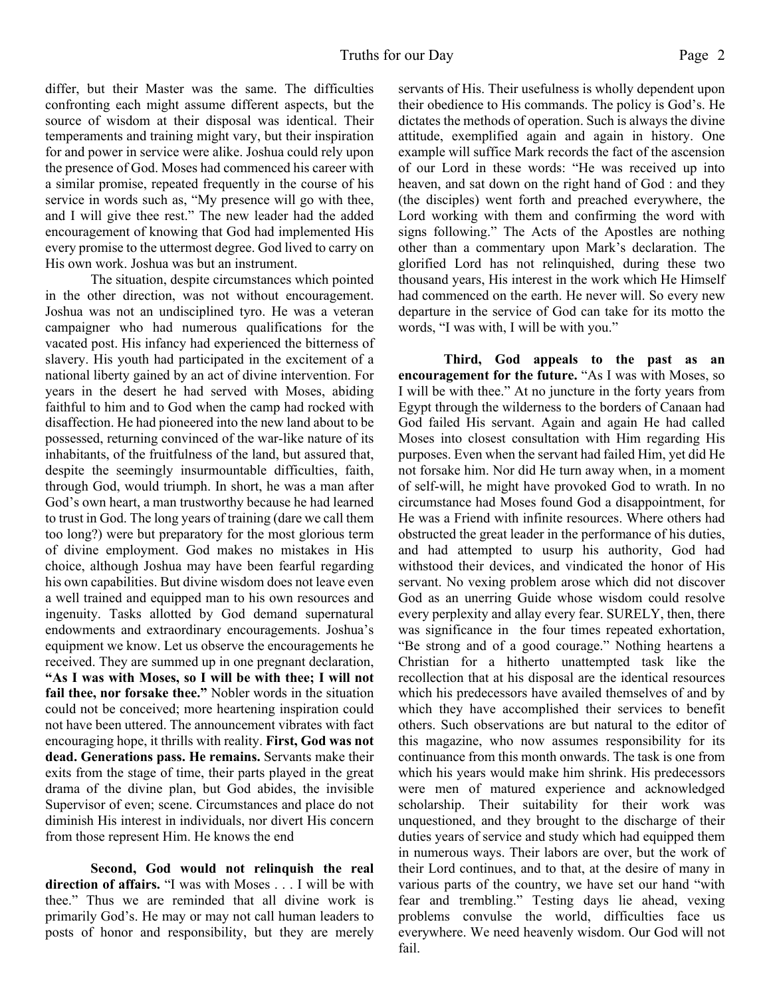differ, but their Master was the same. The difficulties confronting each might assume different aspects, but the source of wisdom at their disposal was identical. Their temperaments and training might vary, but their inspiration for and power in service were alike. Joshua could rely upon the presence of God. Moses had commenced his career with a similar promise, repeated frequently in the course of his service in words such as, "My presence will go with thee, and I will give thee rest." The new leader had the added encouragement of knowing that God had implemented His every promise to the uttermost degree. God lived to carry on His own work. Joshua was but an instrument.

 The situation, despite circumstances which pointed in the other direction, was not without encouragement. Joshua was not an undisciplined tyro. He was a veteran campaigner who had numerous qualifications for the vacated post. His infancy had experienced the bitterness of slavery. His youth had participated in the excitement of a national liberty gained by an act of divine intervention. For years in the desert he had served with Moses, abiding faithful to him and to God when the camp had rocked with disaffection. He had pioneered into the new land about to be possessed, returning convinced of the war-like nature of its inhabitants, of the fruitfulness of the land, but assured that, despite the seemingly insurmountable difficulties, faith, through God, would triumph. In short, he was a man after God's own heart, a man trustworthy because he had learned to trust in God. The long years of training (dare we call them too long?) were but preparatory for the most glorious term of divine employment. God makes no mistakes in His choice, although Joshua may have been fearful regarding his own capabilities. But divine wisdom does not leave even a well trained and equipped man to his own resources and ingenuity. Tasks allotted by God demand supernatural endowments and extraordinary encouragements. Joshua's equipment we know. Let us observe the encouragements he received. They are summed up in one pregnant declaration, **"As I was with Moses, so I will be with thee; I will not fail thee, nor forsake thee."** Nobler words in the situation could not be conceived; more heartening inspiration could not have been uttered. The announcement vibrates with fact encouraging hope, it thrills with reality. **First, God was not dead. Generations pass. He remains.** Servants make their exits from the stage of time, their parts played in the great drama of the divine plan, but God abides, the invisible Supervisor of even; scene. Circumstances and place do not diminish His interest in individuals, nor divert His concern from those represent Him. He knows the end

**Second, God would not relinquish the real direction of affairs.** "I was with Moses . . . I will be with thee." Thus we are reminded that all divine work is primarily God's. He may or may not call human leaders to posts of honor and responsibility, but they are merely servants of His. Their usefulness is wholly dependent upon their obedience to His commands. The policy is God's. He dictates the methods of operation. Such is always the divine attitude, exemplified again and again in history. One example will suffice Mark records the fact of the ascension of our Lord in these words: "He was received up into heaven, and sat down on the right hand of God : and they (the disciples) went forth and preached everywhere, the Lord working with them and confirming the word with signs following." The Acts of the Apostles are nothing other than a commentary upon Mark's declaration. The glorified Lord has not relinquished, during these two thousand years, His interest in the work which He Himself had commenced on the earth. He never will. So every new departure in the service of God can take for its motto the words, "I was with, I will be with you."

**Third, God appeals to the past as an encouragement for the future.** "As I was with Moses, so I will be with thee." At no juncture in the forty years from Egypt through the wilderness to the borders of Canaan had God failed His servant. Again and again He had called Moses into closest consultation with Him regarding His purposes. Even when the servant had failed Him, yet did He not forsake him. Nor did He turn away when, in a moment of self-will, he might have provoked God to wrath. In no circumstance had Moses found God a disappointment, for He was a Friend with infinite resources. Where others had obstructed the great leader in the performance of his duties, and had attempted to usurp his authority, God had withstood their devices, and vindicated the honor of His servant. No vexing problem arose which did not discover God as an unerring Guide whose wisdom could resolve every perplexity and allay every fear. SURELY, then, there was significance in the four times repeated exhortation, "Be strong and of a good courage." Nothing heartens a Christian for a hitherto unattempted task like the recollection that at his disposal are the identical resources which his predecessors have availed themselves of and by which they have accomplished their services to benefit others. Such observations are but natural to the editor of this magazine, who now assumes responsibility for its continuance from this month onwards. The task is one from which his years would make him shrink. His predecessors were men of matured experience and acknowledged scholarship. Their suitability for their work was unquestioned, and they brought to the discharge of their duties years of service and study which had equipped them in numerous ways. Their labors are over, but the work of their Lord continues, and to that, at the desire of many in various parts of the country, we have set our hand "with fear and trembling." Testing days lie ahead, vexing problems convulse the world, difficulties face us everywhere. We need heavenly wisdom. Our God will not fail.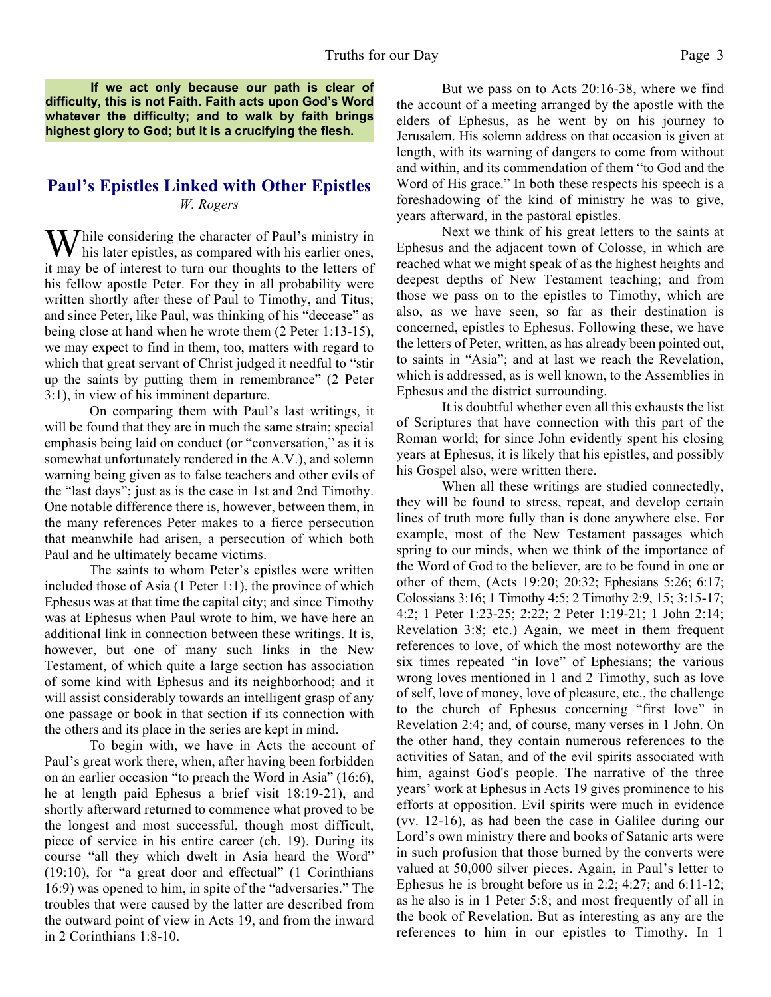**If we act only because our path is clear of difficulty, this is not Faith. Faith acts upon God's Word whatever the difficulty; and to walk by faith brings highest glory to God; but it is a crucifying the flesh.**

#### **Paul's Epistles Linked with Other Epistles** *W. Rogers*

 $\sum$  hile considering the character of Paul's ministry in his later epistles, as compared with his earlier ones, it may be of interest to turn our thoughts to the letters of his fellow apostle Peter. For they in all probability were written shortly after these of Paul to Timothy, and Titus; and since Peter, like Paul, was thinking of his "decease" as being close at hand when he wrote them (2 Peter 1:13-15), we may expect to find in them, too, matters with regard to which that great servant of Christ judged it needful to "stir up the saints by putting them in remembrance" (2 Peter 3:1), in view of his imminent departure.

 On comparing them with Paul's last writings, it will be found that they are in much the same strain; special emphasis being laid on conduct (or "conversation," as it is somewhat unfortunately rendered in the A.V.), and solemn warning being given as to false teachers and other evils of the "last days"; just as is the case in 1st and 2nd Timothy. One notable difference there is, however, between them, in the many references Peter makes to a fierce persecution that meanwhile had arisen, a persecution of which both Paul and he ultimately became victims.

The saints to whom Peter's epistles were written included those of Asia (1 Peter 1:1), the province of which Ephesus was at that time the capital city; and since Timothy was at Ephesus when Paul wrote to him, we have here an additional link in connection between these writings. It is, however, but one of many such links in the New Testament, of which quite a large section has association of some kind with Ephesus and its neighborhood; and it will assist considerably towards an intelligent grasp of any one passage or book in that section if its connection with the others and its place in the series are kept in mind.

 To begin with, we have in Acts the account of Paul's great work there, when, after having been forbidden on an earlier occasion "to preach the Word in Asia" (16:6), he at length paid Ephesus a brief visit 18:19-21), and shortly afterward returned to commence what proved to be the longest and most successful, though most difficult, piece of service in his entire career (ch. 19). During its course "all they which dwelt in Asia heard the Word" (19:10), for "a great door and effectual" (1 Corinthians 16:9) was opened to him, in spite of the "adversaries." The troubles that were caused by the latter are described from the outward point of view in Acts 19, and from the inward in 2 Corinthians 1:8-10.

 But we pass on to Acts 20:16-38, where we find the account of a meeting arranged by the apostle with the elders of Ephesus, as he went by on his journey to Jerusalem. His solemn address on that occasion is given at length, with its warning of dangers to come from without and within, and its commendation of them "to God and the Word of His grace." In both these respects his speech is a foreshadowing of the kind of ministry he was to give, years afterward, in the pastoral epistles.

 Next we think of his great letters to the saints at Ephesus and the adjacent town of Colosse, in which are reached what we might speak of as the highest heights and deepest depths of New Testament teaching; and from those we pass on to the epistles to Timothy, which are also, as we have seen, so far as their destination is concerned, epistles to Ephesus. Following these, we have the letters of Peter, written, as has already been pointed out, to saints in "Asia"; and at last we reach the Revelation, which is addressed, as is well known, to the Assemblies in Ephesus and the district surrounding.

 It is doubtful whether even all this exhausts the list of Scriptures that have connection with this part of the Roman world; for since John evidently spent his closing years at Ephesus, it is likely that his epistles, and possibly his Gospel also, were written there.

 When all these writings are studied connectedly, they will be found to stress, repeat, and develop certain lines of truth more fully than is done anywhere else. For example, most of the New Testament passages which spring to our minds, when we think of the importance of the Word of God to the believer, are to be found in one or other of them, (Acts 19:20; 20:32; Ephesians 5:26; 6:17; Colossians 3:16; 1 Timothy 4:5; 2 Timothy 2:9, 15; 3:15-17; 4:2; 1 Peter 1:23-25; 2:22; 2 Peter 1:19-21; 1 John 2:14; Revelation 3:8; etc.) Again, we meet in them frequent references to love, of which the most noteworthy are the six times repeated "in love" of Ephesians; the various wrong loves mentioned in 1 and 2 Timothy, such as love of self, love of money, love of pleasure, etc., the challenge to the church of Ephesus concerning "first love" in Revelation 2:4; and, of course, many verses in 1 John. On the other hand, they contain numerous references to the activities of Satan, and of the evil spirits associated with him, against God's people. The narrative of the three years' work at Ephesus in Acts 19 gives prominence to his efforts at opposition. Evil spirits were much in evidence (vv. 12-16), as had been the case in Galilee during our Lord's own ministry there and books of Satanic arts were in such profusion that those burned by the converts were valued at 50,000 silver pieces. Again, in Paul's letter to Ephesus he is brought before us in 2:2; 4:27; and 6:11-12; as he also is in 1 Peter 5:8; and most frequently of all in the book of Revelation. But as interesting as any are the references to him in our epistles to Timothy. In 1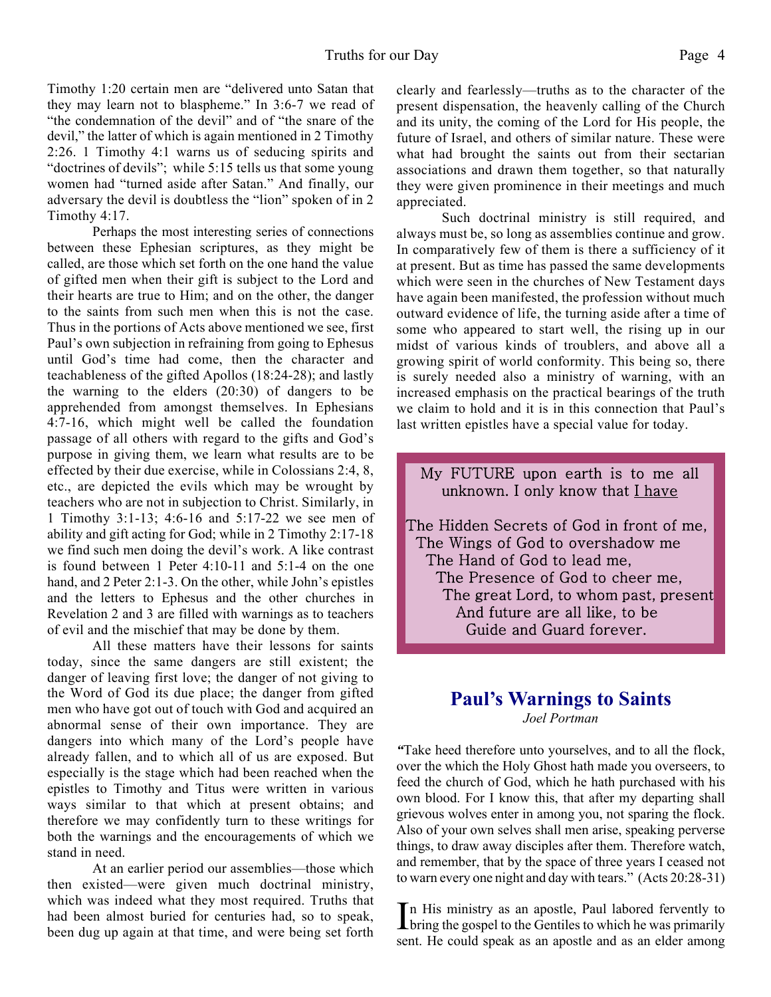Timothy 1:20 certain men are "delivered unto Satan that they may learn not to blaspheme." In 3:6-7 we read of "the condemnation of the devil" and of "the snare of the devil," the latter of which is again mentioned in 2 Timothy 2:26. 1 Timothy 4:1 warns us of seducing spirits and "doctrines of devils"; while 5:15 tells us that some young women had "turned aside after Satan." And finally, our adversary the devil is doubtless the "lion" spoken of in 2 Timothy 4:17.

 Perhaps the most interesting series of connections between these Ephesian scriptures, as they might be called, are those which set forth on the one hand the value of gifted men when their gift is subject to the Lord and their hearts are true to Him; and on the other, the danger to the saints from such men when this is not the case. Thus in the portions of Acts above mentioned we see, first Paul's own subjection in refraining from going to Ephesus until God's time had come, then the character and teachableness of the gifted Apollos (18:24-28); and lastly the warning to the elders (20:30) of dangers to be apprehended from amongst themselves. In Ephesians 4:7-16, which might well be called the foundation passage of all others with regard to the gifts and God's purpose in giving them, we learn what results are to be effected by their due exercise, while in Colossians 2:4, 8, etc., are depicted the evils which may be wrought by teachers who are not in subjection to Christ. Similarly, in 1 Timothy 3:1-13; 4:6-16 and 5:17-22 we see men of ability and gift acting for God; while in 2 Timothy 2:17-18 we find such men doing the devil's work. A like contrast is found between 1 Peter 4:10-11 and 5:1-4 on the one hand, and 2 Peter 2:1-3. On the other, while John's epistles and the letters to Ephesus and the other churches in Revelation 2 and 3 are filled with warnings as to teachers of evil and the mischief that may be done by them.

 All these matters have their lessons for saints today, since the same dangers are still existent; the danger of leaving first love; the danger of not giving to the Word of God its due place; the danger from gifted men who have got out of touch with God and acquired an abnormal sense of their own importance. They are dangers into which many of the Lord's people have already fallen, and to which all of us are exposed. But especially is the stage which had been reached when the epistles to Timothy and Titus were written in various ways similar to that which at present obtains; and therefore we may confidently turn to these writings for both the warnings and the encouragements of which we stand in need.

 At an earlier period our assemblies—those which then existed—were given much doctrinal ministry, which was indeed what they most required. Truths that had been almost buried for centuries had, so to speak, been dug up again at that time, and were being set forth clearly and fearlessly—truths as to the character of the present dispensation, the heavenly calling of the Church and its unity, the coming of the Lord for His people, the future of Israel, and others of similar nature. These were what had brought the saints out from their sectarian associations and drawn them together, so that naturally they were given prominence in their meetings and much appreciated.

 Such doctrinal ministry is still required, and always must be, so long as assemblies continue and grow. In comparatively few of them is there a sufficiency of it at present. But as time has passed the same developments which were seen in the churches of New Testament days have again been manifested, the profession without much outward evidence of life, the turning aside after a time of some who appeared to start well, the rising up in our midst of various kinds of troublers, and above all a growing spirit of world conformity. This being so, there is surely needed also a ministry of warning, with an increased emphasis on the practical bearings of the truth we claim to hold and it is in this connection that Paul's last written epistles have a special value for today.

My FUTURE upon earth is to me all unknown. I only know that I have

The Hidden Secrets of God in front of me, The Wings of God to overshadow me The Hand of God to lead me, The Presence of God to cheer me, The great Lord, to whom past, present And future are all like, to be Guide and Guard forever.

# **Paul's Warnings to Saints**

*Joel Portman*

*"*Take heed therefore unto yourselves, and to all the flock, over the which the Holy Ghost hath made you overseers, to feed the church of God, which he hath purchased with his own blood. For I know this, that after my departing shall grievous wolves enter in among you, not sparing the flock. Also of your own selves shall men arise, speaking perverse things, to draw away disciples after them. Therefore watch, and remember, that by the space of three years I ceased not to warn every one night and day with tears." (Acts 20:28-31)

In His ministry as an apostle, Paul labored fervently to bring the gospel to the Gentiles to which he was primarily n His ministry as an apostle, Paul labored fervently to sent. He could speak as an apostle and as an elder among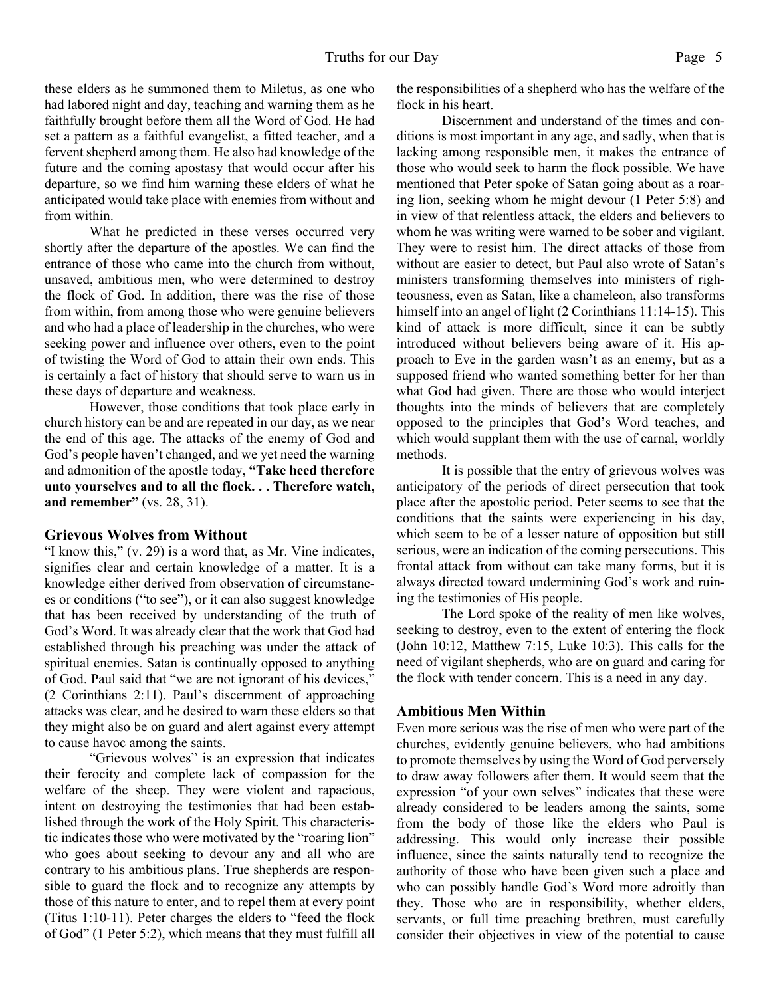these elders as he summoned them to Miletus, as one who had labored night and day, teaching and warning them as he faithfully brought before them all the Word of God. He had set a pattern as a faithful evangelist, a fitted teacher, and a fervent shepherd among them. He also had knowledge of the future and the coming apostasy that would occur after his departure, so we find him warning these elders of what he anticipated would take place with enemies from without and from within.

 What he predicted in these verses occurred very shortly after the departure of the apostles. We can find the entrance of those who came into the church from without, unsaved, ambitious men, who were determined to destroy the flock of God. In addition, there was the rise of those from within, from among those who were genuine believers and who had a place of leadership in the churches, who were seeking power and influence over others, even to the point of twisting the Word of God to attain their own ends. This is certainly a fact of history that should serve to warn us in these days of departure and weakness.

 However, those conditions that took place early in church history can be and are repeated in our day, as we near the end of this age. The attacks of the enemy of God and God's people haven't changed, and we yet need the warning and admonition of the apostle today, **"Take heed therefore unto yourselves and to all the flock. . . Therefore watch, and remember"** (vs. 28, 31).

#### **Grievous Wolves from Without**

"I know this," (v. 29) is a word that, as Mr. Vine indicates, signifies clear and certain knowledge of a matter. It is a knowledge either derived from observation of circumstances or conditions ("to see"), or it can also suggest knowledge that has been received by understanding of the truth of God's Word. It was already clear that the work that God had established through his preaching was under the attack of spiritual enemies. Satan is continually opposed to anything of God. Paul said that "we are not ignorant of his devices," (2 Corinthians 2:11). Paul's discernment of approaching attacks was clear, and he desired to warn these elders so that they might also be on guard and alert against every attempt to cause havoc among the saints.

 "Grievous wolves" is an expression that indicates their ferocity and complete lack of compassion for the welfare of the sheep. They were violent and rapacious, intent on destroying the testimonies that had been established through the work of the Holy Spirit. This characteristic indicates those who were motivated by the "roaring lion" who goes about seeking to devour any and all who are contrary to his ambitious plans. True shepherds are responsible to guard the flock and to recognize any attempts by those of this nature to enter, and to repel them at every point (Titus 1:10-11). Peter charges the elders to "feed the flock of God" (1 Peter 5:2), which means that they must fulfill all

the responsibilities of a shepherd who has the welfare of the flock in his heart.

 Discernment and understand of the times and conditions is most important in any age, and sadly, when that is lacking among responsible men, it makes the entrance of those who would seek to harm the flock possible. We have mentioned that Peter spoke of Satan going about as a roaring lion, seeking whom he might devour (1 Peter 5:8) and in view of that relentless attack, the elders and believers to whom he was writing were warned to be sober and vigilant. They were to resist him. The direct attacks of those from without are easier to detect, but Paul also wrote of Satan's ministers transforming themselves into ministers of righteousness, even as Satan, like a chameleon, also transforms himself into an angel of light (2 Corinthians 11:14-15). This kind of attack is more difficult, since it can be subtly introduced without believers being aware of it. His approach to Eve in the garden wasn't as an enemy, but as a supposed friend who wanted something better for her than what God had given. There are those who would interject thoughts into the minds of believers that are completely opposed to the principles that God's Word teaches, and which would supplant them with the use of carnal, worldly methods.

 It is possible that the entry of grievous wolves was anticipatory of the periods of direct persecution that took place after the apostolic period. Peter seems to see that the conditions that the saints were experiencing in his day, which seem to be of a lesser nature of opposition but still serious, were an indication of the coming persecutions. This frontal attack from without can take many forms, but it is always directed toward undermining God's work and ruining the testimonies of His people.

 The Lord spoke of the reality of men like wolves, seeking to destroy, even to the extent of entering the flock (John 10:12, Matthew 7:15, Luke 10:3). This calls for the need of vigilant shepherds, who are on guard and caring for the flock with tender concern. This is a need in any day.

#### **Ambitious Men Within**

Even more serious was the rise of men who were part of the churches, evidently genuine believers, who had ambitions to promote themselves by using the Word of God perversely to draw away followers after them. It would seem that the expression "of your own selves" indicates that these were already considered to be leaders among the saints, some from the body of those like the elders who Paul is addressing. This would only increase their possible influence, since the saints naturally tend to recognize the authority of those who have been given such a place and who can possibly handle God's Word more adroitly than they. Those who are in responsibility, whether elders, servants, or full time preaching brethren, must carefully consider their objectives in view of the potential to cause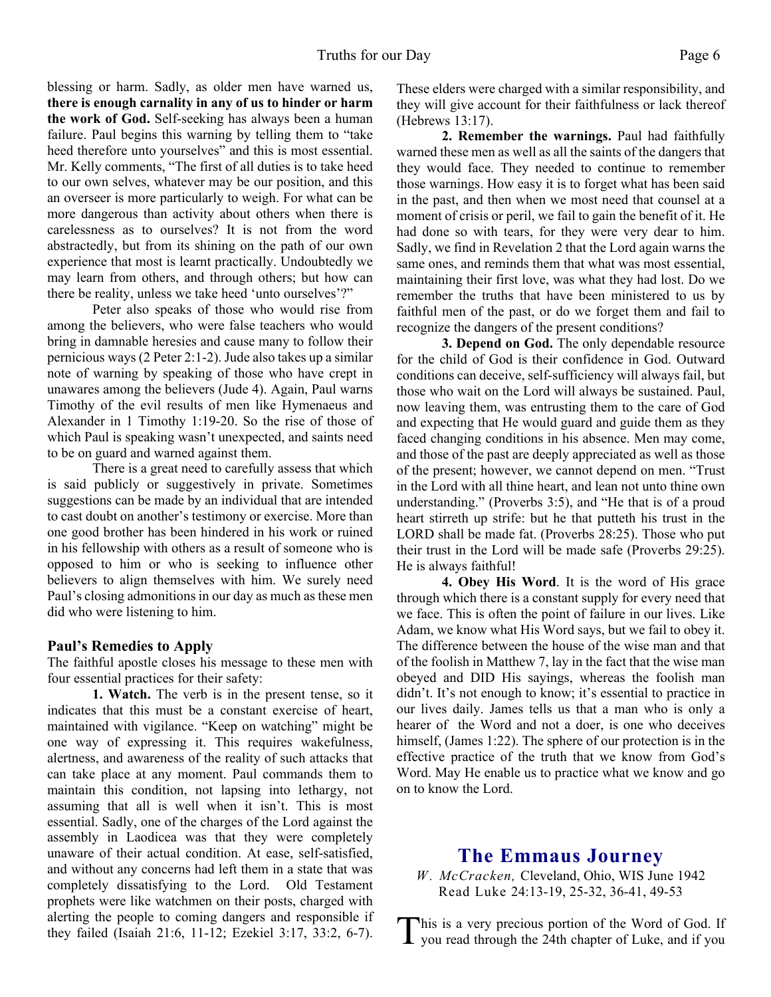blessing or harm. Sadly, as older men have warned us, **there is enough carnality in any of us to hinder or harm the work of God.** Self-seeking has always been a human failure. Paul begins this warning by telling them to "take heed therefore unto yourselves" and this is most essential. Mr. Kelly comments, "The first of all duties is to take heed to our own selves, whatever may be our position, and this an overseer is more particularly to weigh. For what can be more dangerous than activity about others when there is carelessness as to ourselves? It is not from the word abstractedly, but from its shining on the path of our own experience that most is learnt practically. Undoubtedly we may learn from others, and through others; but how can there be reality, unless we take heed 'unto ourselves'?"

 Peter also speaks of those who would rise from among the believers, who were false teachers who would bring in damnable heresies and cause many to follow their pernicious ways (2 Peter 2:1-2). Jude also takes up a similar note of warning by speaking of those who have crept in unawares among the believers (Jude 4). Again, Paul warns Timothy of the evil results of men like Hymenaeus and Alexander in 1 Timothy 1:19-20. So the rise of those of which Paul is speaking wasn't unexpected, and saints need to be on guard and warned against them.

 There is a great need to carefully assess that which is said publicly or suggestively in private. Sometimes suggestions can be made by an individual that are intended to cast doubt on another's testimony or exercise. More than one good brother has been hindered in his work or ruined in his fellowship with others as a result of someone who is opposed to him or who is seeking to influence other believers to align themselves with him. We surely need Paul's closing admonitions in our day as much as these men did who were listening to him.

#### **Paul's Remedies to Apply**

The faithful apostle closes his message to these men with four essential practices for their safety:

**1. Watch.** The verb is in the present tense, so it indicates that this must be a constant exercise of heart, maintained with vigilance. "Keep on watching" might be one way of expressing it. This requires wakefulness, alertness, and awareness of the reality of such attacks that can take place at any moment. Paul commands them to maintain this condition, not lapsing into lethargy, not assuming that all is well when it isn't. This is most essential. Sadly, one of the charges of the Lord against the assembly in Laodicea was that they were completely unaware of their actual condition. At ease, self-satisfied, and without any concerns had left them in a state that was completely dissatisfying to the Lord. Old Testament prophets were like watchmen on their posts, charged with alerting the people to coming dangers and responsible if they failed (Isaiah 21:6, 11-12; Ezekiel 3:17, 33:2, 6-7).

These elders were charged with a similar responsibility, and they will give account for their faithfulness or lack thereof (Hebrews 13:17).

**2. Remember the warnings.** Paul had faithfully warned these men as well as all the saints of the dangers that they would face. They needed to continue to remember those warnings. How easy it is to forget what has been said in the past, and then when we most need that counsel at a moment of crisis or peril, we fail to gain the benefit of it. He had done so with tears, for they were very dear to him. Sadly, we find in Revelation 2 that the Lord again warns the same ones, and reminds them that what was most essential, maintaining their first love, was what they had lost. Do we remember the truths that have been ministered to us by faithful men of the past, or do we forget them and fail to recognize the dangers of the present conditions?

**3. Depend on God.** The only dependable resource for the child of God is their confidence in God. Outward conditions can deceive, self-sufficiency will always fail, but those who wait on the Lord will always be sustained. Paul, now leaving them, was entrusting them to the care of God and expecting that He would guard and guide them as they faced changing conditions in his absence. Men may come, and those of the past are deeply appreciated as well as those of the present; however, we cannot depend on men. "Trust in the Lord with all thine heart, and lean not unto thine own understanding." (Proverbs 3:5), and "He that is of a proud heart stirreth up strife: but he that putteth his trust in the LORD shall be made fat. (Proverbs 28:25). Those who put their trust in the Lord will be made safe (Proverbs 29:25). He is always faithful!

**4. Obey His Word**. It is the word of His grace through which there is a constant supply for every need that we face. This is often the point of failure in our lives. Like Adam, we know what His Word says, but we fail to obey it. The difference between the house of the wise man and that of the foolish in Matthew 7, lay in the fact that the wise man obeyed and DID His sayings, whereas the foolish man didn't. It's not enough to know; it's essential to practice in our lives daily. James tells us that a man who is only a hearer of the Word and not a doer, is one who deceives himself, (James 1:22). The sphere of our protection is in the effective practice of the truth that we know from God's Word. May He enable us to practice what we know and go on to know the Lord.

#### **The Emmaus Journey**

*W. McCracken, Cleveland, Ohio, WIS June 1942* Read Luke 24:13-19, 25-32, 36-41, 49-53

This is a very precious portion of the Word of God. If you read through the 24th chapter of Luke, and if you you read through the 24th chapter of Luke, and if you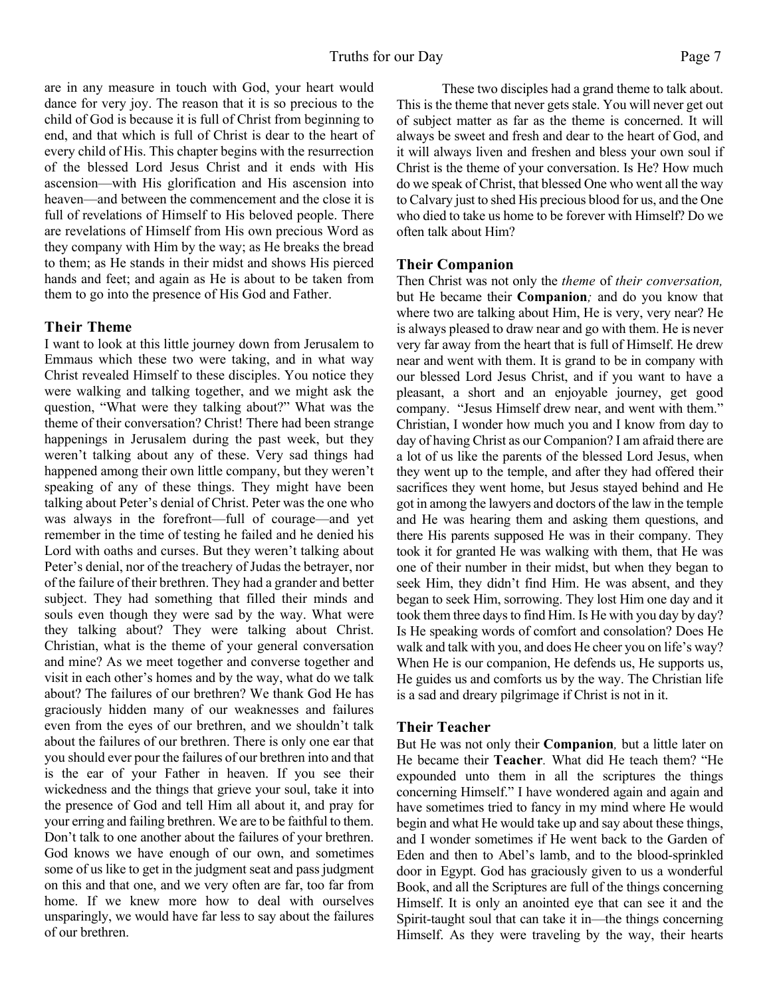are in any measure in touch with God, your heart would dance for very joy. The reason that it is so precious to the child of God is because it is full of Christ from beginning to end, and that which is full of Christ is dear to the heart of every child of His. This chapter begins with the resurrection of the blessed Lord Jesus Christ and it ends with His ascension—with His glorification and His ascension into heaven—and between the commencement and the close it is full of revelations of Himself to His beloved people. There are revelations of Himself from His own precious Word as they company with Him by the way; as He breaks the bread to them; as He stands in their midst and shows His pierced hands and feet; and again as He is about to be taken from them to go into the presence of His God and Father.

#### **Their Theme**

I want to look at this little journey down from Jerusalem to Emmaus which these two were taking, and in what way Christ revealed Himself to these disciples. You notice they were walking and talking together, and we might ask the question, "What were they talking about?" What was the theme of their conversation? Christ! There had been strange happenings in Jerusalem during the past week, but they weren't talking about any of these. Very sad things had happened among their own little company, but they weren't speaking of any of these things. They might have been talking about Peter's denial of Christ. Peter was the one who was always in the forefront—full of courage—and yet remember in the time of testing he failed and he denied his Lord with oaths and curses. But they weren't talking about Peter's denial, nor of the treachery of Judas the betrayer, nor of the failure of their brethren. They had a grander and better subject. They had something that filled their minds and souls even though they were sad by the way. What were they talking about? They were talking about Christ. Christian, what is the theme of your general conversation and mine? As we meet together and converse together and visit in each other's homes and by the way, what do we talk about? The failures of our brethren? We thank God He has graciously hidden many of our weaknesses and failures even from the eyes of our brethren, and we shouldn't talk about the failures of our brethren. There is only one ear that you should ever pour the failures of our brethren into and that is the ear of your Father in heaven. If you see their wickedness and the things that grieve your soul, take it into the presence of God and tell Him all about it, and pray for your erring and failing brethren. We are to be faithful to them. Don't talk to one another about the failures of your brethren. God knows we have enough of our own, and sometimes some of us like to get in the judgment seat and pass judgment on this and that one, and we very often are far, too far from home. If we knew more how to deal with ourselves unsparingly, we would have far less to say about the failures of our brethren.

 These two disciples had a grand theme to talk about. This is the theme that never gets stale. You will never get out of subject matter as far as the theme is concerned. It will always be sweet and fresh and dear to the heart of God, and it will always liven and freshen and bless your own soul if Christ is the theme of your conversation. Is He? How much do we speak of Christ, that blessed One who went all the way to Calvary just to shed His precious blood for us, and the One who died to take us home to be forever with Himself? Do we often talk about Him?

#### **Their Companion**

Then Christ was not only the *theme* of *their conversation,* but He became their **Companion***;* and do you know that where two are talking about Him, He is very, very near? He is always pleased to draw near and go with them. He is never very far away from the heart that is full of Himself. He drew near and went with them. It is grand to be in company with our blessed Lord Jesus Christ, and if you want to have a pleasant, a short and an enjoyable journey, get good company. "Jesus Himself drew near, and went with them." Christian, I wonder how much you and I know from day to day of having Christ as our Companion? I am afraid there are a lot of us like the parents of the blessed Lord Jesus, when they went up to the temple, and after they had offered their sacrifices they went home, but Jesus stayed behind and He got in among the lawyers and doctors of the law in the temple and He was hearing them and asking them questions, and there His parents supposed He was in their company. They took it for granted He was walking with them, that He was one of their number in their midst, but when they began to seek Him, they didn't find Him. He was absent, and they began to seek Him, sorrowing. They lost Him one day and it took them three days to find Him. Is He with you day by day? Is He speaking words of comfort and consolation? Does He walk and talk with you, and does He cheer you on life's way? When He is our companion, He defends us, He supports us, He guides us and comforts us by the way. The Christian life is a sad and dreary pilgrimage if Christ is not in it.

#### **Their Teacher**

But He was not only their **Companion***,* but a little later on He became their **Teacher***.* What did He teach them? "He expounded unto them in all the scriptures the things concerning Himself." I have wondered again and again and have sometimes tried to fancy in my mind where He would begin and what He would take up and say about these things, and I wonder sometimes if He went back to the Garden of Eden and then to Abel's lamb, and to the blood-sprinkled door in Egypt. God has graciously given to us a wonderful Book, and all the Scriptures are full of the things concerning Himself. It is only an anointed eye that can see it and the Spirit-taught soul that can take it in—the things concerning Himself. As they were traveling by the way, their hearts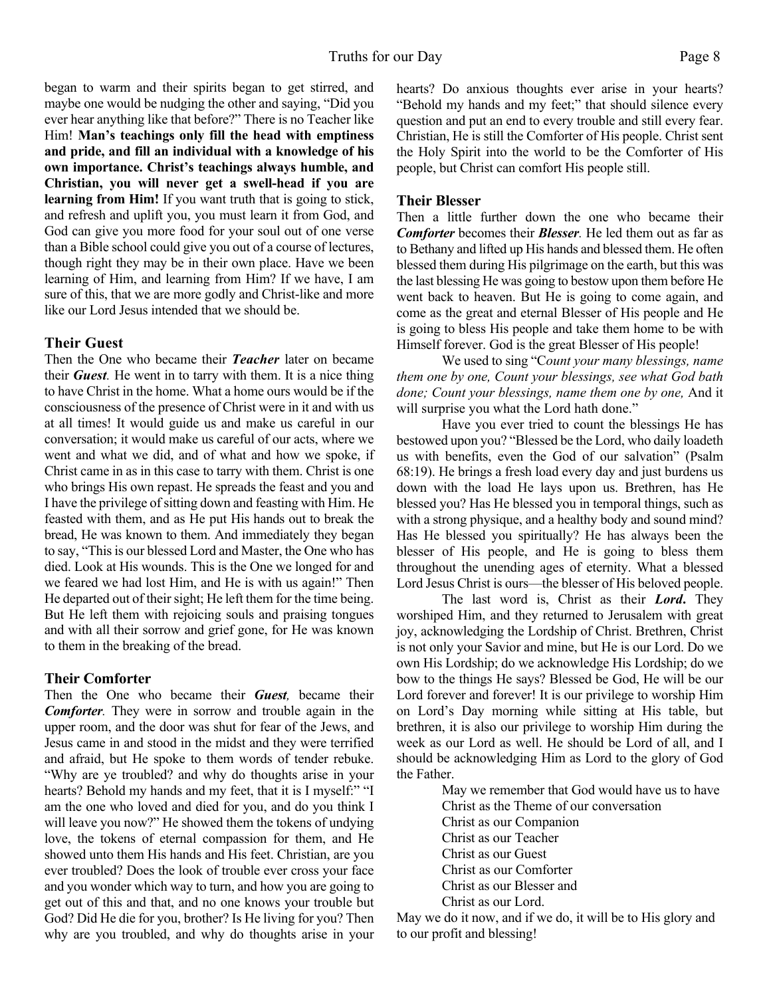began to warm and their spirits began to get stirred, and maybe one would be nudging the other and saying, "Did you ever hear anything like that before?" There is no Teacher like Him! **Man's teachings only fill the head with emptiness and pride, and fill an individual with a knowledge of his own importance. Christ's teachings always humble, and Christian, you will never get a swell-head if you are learning from Him!** If you want truth that is going to stick, and refresh and uplift you, you must learn it from God, and God can give you more food for your soul out of one verse than a Bible school could give you out of a course of lectures, though right they may be in their own place. Have we been learning of Him, and learning from Him? If we have, I am sure of this, that we are more godly and Christ-like and more like our Lord Jesus intended that we should be.

#### **Their Guest**

Then the One who became their *Teacher* later on became their *Guest.* He went in to tarry with them. It is a nice thing to have Christ in the home. What a home ours would be if the consciousness of the presence of Christ were in it and with us at all times! It would guide us and make us careful in our conversation; it would make us careful of our acts, where we went and what we did, and of what and how we spoke, if Christ came in as in this case to tarry with them. Christ is one who brings His own repast. He spreads the feast and you and I have the privilege of sitting down and feasting with Him. He feasted with them, and as He put His hands out to break the bread, He was known to them. And immediately they began to say, "This is our blessed Lord and Master, the One who has died. Look at His wounds. This is the One we longed for and we feared we had lost Him, and He is with us again!" Then He departed out of their sight; He left them for the time being. But He left them with rejoicing souls and praising tongues and with all their sorrow and grief gone, for He was known to them in the breaking of the bread.

#### **Their Comforter**

Then the One who became their *Guest,* became their *Comforter.* They were in sorrow and trouble again in the upper room, and the door was shut for fear of the Jews, and Jesus came in and stood in the midst and they were terrified and afraid, but He spoke to them words of tender rebuke. "Why are ye troubled? and why do thoughts arise in your hearts? Behold my hands and my feet, that it is I myself:" "I am the one who loved and died for you, and do you think I will leave you now?" He showed them the tokens of undying love, the tokens of eternal compassion for them, and He showed unto them His hands and His feet. Christian, are you ever troubled? Does the look of trouble ever cross your face and you wonder which way to turn, and how you are going to get out of this and that, and no one knows your trouble but God? Did He die for you, brother? Is He living for you? Then why are you troubled, and why do thoughts arise in your

hearts? Do anxious thoughts ever arise in your hearts? "Behold my hands and my feet;" that should silence every question and put an end to every trouble and still every fear. Christian, He is still the Comforter of His people. Christ sent the Holy Spirit into the world to be the Comforter of His people, but Christ can comfort His people still.

#### **Their Blesser**

Then a little further down the one who became their *Comforter* becomes their *Blesser.* He led them out as far as to Bethany and lifted up His hands and blessed them. He often blessed them during His pilgrimage on the earth, but this was the last blessing He was going to bestow upon them before He went back to heaven. But He is going to come again, and come as the great and eternal Blesser of His people and He is going to bless His people and take them home to be with Himself forever. God is the great Blesser of His people!

 We used to sing "C*ount your many blessings, name them one by one, Count your blessings, see what God bath done; Count your blessings, name them one by one,* And it will surprise you what the Lord hath done."

 Have you ever tried to count the blessings He has bestowed upon you? "Blessed be the Lord, who daily loadeth us with benefits, even the God of our salvation" (Psalm 68:19). He brings a fresh load every day and just burdens us down with the load He lays upon us. Brethren, has He blessed you? Has He blessed you in temporal things, such as with a strong physique, and a healthy body and sound mind? Has He blessed you spiritually? He has always been the blesser of His people, and He is going to bless them throughout the unending ages of eternity. What a blessed Lord Jesus Christ is ours—the blesser of His beloved people.

 The last word is, Christ as their *Lord***.** They worshiped Him, and they returned to Jerusalem with great joy, acknowledging the Lordship of Christ. Brethren, Christ is not only your Savior and mine, but He is our Lord. Do we own His Lordship; do we acknowledge His Lordship; do we bow to the things He says? Blessed be God, He will be our Lord forever and forever! It is our privilege to worship Him on Lord's Day morning while sitting at His table, but brethren, it is also our privilege to worship Him during the week as our Lord as well. He should be Lord of all, and I should be acknowledging Him as Lord to the glory of God the Father.

May we remember that God would have us to have Christ as the Theme of our conversation Christ as our Companion Christ as our Teacher Christ as our Guest Christ as our Comforter Christ as our Blesser and

Christ as our Lord.

May we do it now, and if we do, it will be to His glory and to our profit and blessing!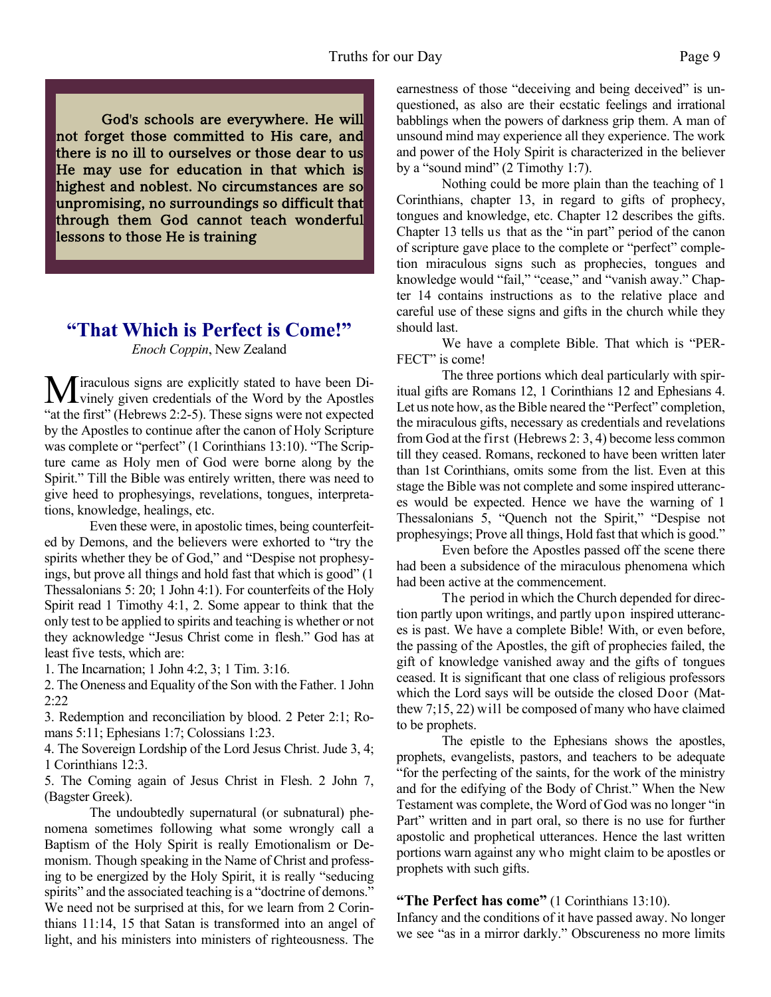God's schools are everywhere. He will not forget those committed to His care, and there is no ill to ourselves or those dear to us He may use for education in that which is highest and noblest. No circumstances are so unpromising, no surroundings so difficult that through them God cannot teach wonderful lessons to those He is training

### **"That Which is Perfect is Come!"**

#### *Enoch Coppin*, New Zealand

**M**iraculous signs are explicitly stated to have been Di-<br>winely given credentials of the Word by the Apostles "at the first" (Hebrews 2:2-5). These signs were not expected by the Apostles to continue after the canon of Holy Scripture was complete or "perfect" (1 Corinthians 13:10). "The Scripture came as Holy men of God were borne along by the Spirit." Till the Bible was entirely written, there was need to give heed to prophesyings, revelations, tongues, interpretations, knowledge, healings, etc.

 Even these were, in apostolic times, being counterfeited by Demons, and the believers were exhorted to "try the spirits whether they be of God," and "Despise not prophesyings, but prove all things and hold fast that which is good" (1 Thessalonians 5: 20; 1 John 4:1). For counterfeits of the Holy Spirit read 1 Timothy 4:1, 2. Some appear to think that the only test to be applied to spirits and teaching is whether or not they acknowledge "Jesus Christ come in flesh." God has at least five tests, which are:

1. The Incarnation; 1 John 4:2, 3; 1 Tim. 3:16.

2. The Oneness and Equality of the Son with the Father. 1 John 2:22

3. Redemption and reconciliation by blood. 2 Peter 2:1; Romans 5:11; Ephesians 1:7; Colossians 1:23.

4. The Sovereign Lordship of the Lord Jesus Christ. Jude 3, 4; 1 Corinthians 12:3.

5. The Coming again of Jesus Christ in Flesh. 2 John 7, (Bagster Greek).

 The undoubtedly supernatural (or subnatural) phenomena sometimes following what some wrongly call a Baptism of the Holy Spirit is really Emotionalism or Demonism. Though speaking in the Name of Christ and professing to be energized by the Holy Spirit, it is really "seducing spirits" and the associated teaching is a "doctrine of demons." We need not be surprised at this, for we learn from 2 Corinthians 11:14, 15 that Satan is transformed into an angel of light, and his ministers into ministers of righteousness. The

earnestness of those "deceiving and being deceived" is unquestioned, as also are their ecstatic feelings and irrational babblings when the powers of darkness grip them. A man of unsound mind may experience all they experience. The work and power of the Holy Spirit is characterized in the believer by a "sound mind" (2 Timothy 1:7).

 Nothing could be more plain than the teaching of 1 Corinthians, chapter 13, in regard to gifts of prophecy, tongues and knowledge, etc. Chapter 12 describes the gifts. Chapter 13 tells us that as the "in part" period of the canon of scripture gave place to the complete or "perfect" completion miraculous signs such as prophecies, tongues and knowledge would "fail," "cease," and "vanish away." Chapter 14 contains instructions as to the relative place and careful use of these signs and gifts in the church while they should last.

 We have a complete Bible. That which is "PER-FECT" is come!

 The three portions which deal particularly with spiritual gifts are Romans 12, 1 Corinthians 12 and Ephesians 4. Let us note how, as the Bible neared the "Perfect" completion, the miraculous gifts, necessary as credentials and revelations from God at the first (Hebrews 2: 3, 4) become less common till they ceased. Romans, reckoned to have been written later than 1st Corinthians, omits some from the list. Even at this stage the Bible was not complete and some inspired utterances would be expected. Hence we have the warning of 1 Thessalonians 5, "Quench not the Spirit," "Despise not prophesyings; Prove all things, Hold fast that which is good."

 Even before the Apostles passed off the scene there had been a subsidence of the miraculous phenomena which had been active at the commencement.

 The period in which the Church depended for direction partly upon writings, and partly upon inspired utterances is past. We have a complete Bible! With, or even before, the passing of the Apostles, the gift of prophecies failed, the gift of knowledge vanished away and the gifts of tongues ceased. It is significant that one class of religious professors which the Lord says will be outside the closed Door (Matthew 7;15, 22) will be composed of many who have claimed to be prophets.

 The epistle to the Ephesians shows the apostles, prophets, evangelists, pastors, and teachers to be adequate "for the perfecting of the saints, for the work of the ministry and for the edifying of the Body of Christ." When the New Testament was complete, the Word of God was no longer "in Part" written and in part oral, so there is no use for further apostolic and prophetical utterances. Hence the last written portions warn against any who might claim to be apostles or prophets with such gifts.

#### **"The Perfect has come"** (1 Corinthians 13:10).

Infancy and the conditions of it have passed away. No longer we see "as in a mirror darkly." Obscureness no more limits